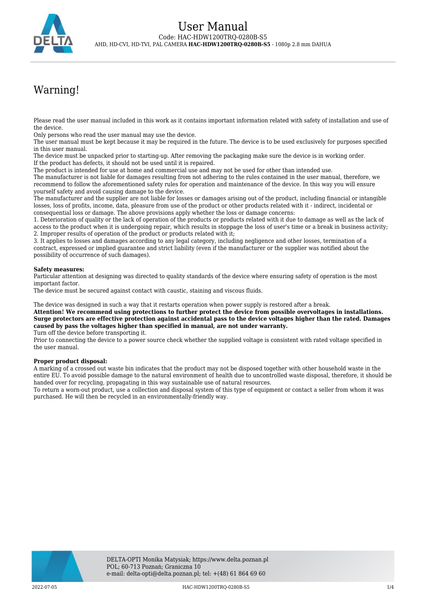

# Warning!

Please read the user manual included in this work as it contains important information related with safety of installation and use of the device.

Only persons who read the user manual may use the device.

The user manual must be kept because it may be required in the future. The device is to be used exclusively for purposes specified in this user manual.

The device must be unpacked prior to starting-up. After removing the packaging make sure the device is in working order. If the product has defects, it should not be used until it is repaired.

The product is intended for use at home and commercial use and may not be used for other than intended use.

The manufacturer is not liable for damages resulting from not adhering to the rules contained in the user manual, therefore, we recommend to follow the aforementioned safety rules for operation and maintenance of the device. In this way you will ensure yourself safety and avoid causing damage to the device.

The manufacturer and the supplier are not liable for losses or damages arising out of the product, including financial or intangible losses, loss of profits, income, data, pleasure from use of the product or other products related with it - indirect, incidental or consequential loss or damage. The above provisions apply whether the loss or damage concerns:

1. Deterioration of quality or the lack of operation of the products or products related with it due to damage as well as the lack of access to the product when it is undergoing repair, which results in stoppage the loss of user's time or a break in business activity; 2. Improper results of operation of the product or products related with it;

3. It applies to losses and damages according to any legal category, including negligence and other losses, termination of a contract, expressed or implied guarantee and strict liability (even if the manufacturer or the supplier was notified about the possibility of occurrence of such damages).

#### **Safety measures:**

Particular attention at designing was directed to quality standards of the device where ensuring safety of operation is the most important factor.

The device must be secured against contact with caustic, staining and viscous fluids.

The device was designed in such a way that it restarts operation when power supply is restored after a break.

**Attention! We recommend using protections to further protect the device from possible overvoltages in installations. Surge protectors are effective protection against accidental pass to the device voltages higher than the rated. Damages caused by pass the voltages higher than specified in manual, are not under warranty.**

Turn off the device before transporting it.

Prior to connecting the device to a power source check whether the supplied voltage is consistent with rated voltage specified in the user manual.

#### **Proper product disposal:**

A marking of a crossed out waste bin indicates that the product may not be disposed together with other household waste in the entire EU. To avoid possible damage to the natural environment of health due to uncontrolled waste disposal, therefore, it should be handed over for recycling, propagating in this way sustainable use of natural resources.

To return a worn-out product, use a collection and disposal system of this type of equipment or contact a seller from whom it was purchased. He will then be recycled in an environmentally-friendly way.

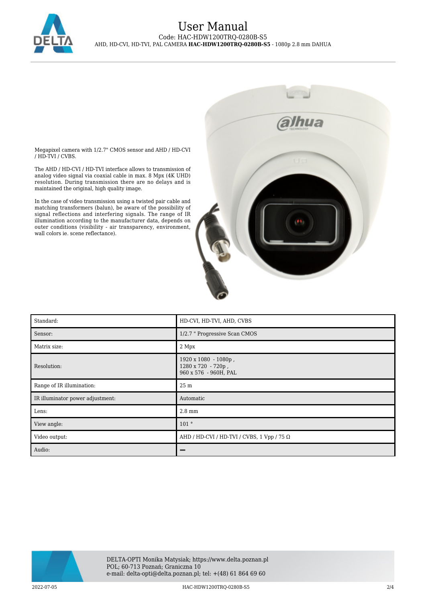

### User Manual Code: HAC-HDW1200TRQ-0280B-S5 AHD, HD-CVI, HD-TVI, PAL CAMERA **HAC-HDW1200TRQ-0280B-S5** - 1080p 2.8 mm DAHUA

Megapixel camera with 1/2.7" CMOS sensor and AHD / HD-CVI / HD-TVI / CVBS.

The AHD / HD-CVI / HD-TVI interface allows to transmission of analog video signal via coaxial cable in max. 8 Mpx (4K UHD) resolution. During transmission there are no delays and is maintained the original, high quality image.

In the case of video transmission using a twisted pair cable and m the case of video transmission dsing a twisted part cable and matching transformers (balun), be aware of the possibility of signal reflections and interfering signals. The range of IR illumination according to the manufacturer data, depends on outer conditions (visibility - air transparency, environment, wall colors ie. scene reflectance).



| Standard:                        | HD-CVI, HD-TVI, AHD, CVBS                                           |
|----------------------------------|---------------------------------------------------------------------|
| Sensor:                          | 1/2.7 " Progressive Scan CMOS                                       |
| Matrix size:                     | 2 Mpx                                                               |
| Resolution:                      | 1920 x 1080 - 1080p,<br>1280 x 720 - 720p,<br>960 x 576 - 960H, PAL |
| Range of IR illumination:        | 25 m                                                                |
| IR illuminator power adjustment: | Automatic                                                           |
| Lens:                            | 2.8 mm                                                              |
| View angle:                      | 101°                                                                |
| Video output:                    | AHD / HD-CVI / HD-TVI / CVBS, 1 Vpp / 75 $\Omega$                   |
| Audio:                           |                                                                     |

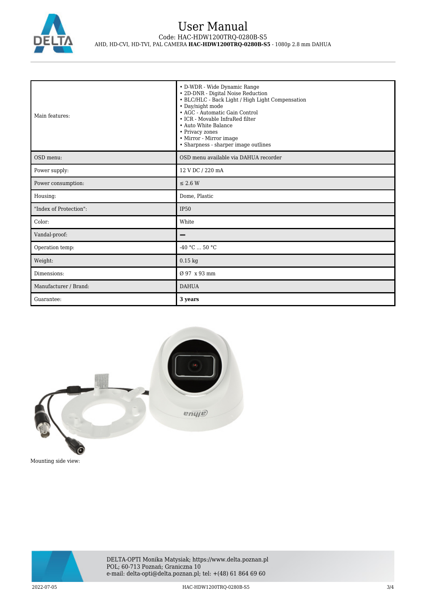

| Main features:         | • D-WDR - Wide Dynamic Range<br>· 2D-DNR - Digital Noise Reduction<br>• BLC/HLC - Back Light / High Light Compensation<br>• Day/night mode<br>• AGC - Automatic Gain Control<br>• ICR - Movable InfraRed filter<br>• Auto White Balance<br>• Privacy zones<br>• Mirror - Mirror image<br>• Sharpness - sharper image outlines |
|------------------------|-------------------------------------------------------------------------------------------------------------------------------------------------------------------------------------------------------------------------------------------------------------------------------------------------------------------------------|
| OSD menu:              | OSD menu available via DAHUA recorder                                                                                                                                                                                                                                                                                         |
| Power supply:          | 12 V DC / 220 mA                                                                                                                                                                                                                                                                                                              |
| Power consumption:     | $\leq$ 2.6 W                                                                                                                                                                                                                                                                                                                  |
| Housing:               | Dome, Plastic                                                                                                                                                                                                                                                                                                                 |
| "Index of Protection": | <b>IP50</b>                                                                                                                                                                                                                                                                                                                   |
| Color:                 | White                                                                                                                                                                                                                                                                                                                         |
| Vandal-proof:          |                                                                                                                                                                                                                                                                                                                               |
| Operation temp:        | $-40 °C$ 50 °C                                                                                                                                                                                                                                                                                                                |
| Weight:                | $0.15$ kg                                                                                                                                                                                                                                                                                                                     |
| Dimensions:            | Ø 97 x 93 mm                                                                                                                                                                                                                                                                                                                  |
| Manufacturer / Brand:  | <b>DAHUA</b>                                                                                                                                                                                                                                                                                                                  |
| Guarantee:             | 3 years                                                                                                                                                                                                                                                                                                                       |



Mounting side view: